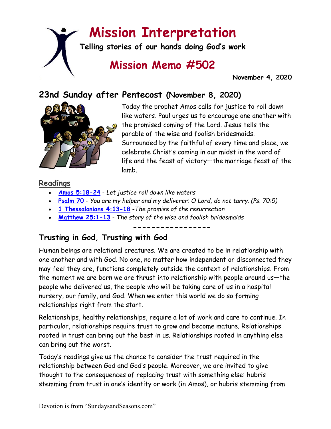# **Mission Interpretation**

**Telling stories of our hands doing God's work**

## **Mission Memo #502**

 **November 4, 2020**

## **23nd Sunday after Pentecost (November 8, 2020)**



Today the prophet Amos calls for justice to roll down like waters. Paul urges us to encourage one another with the promised coming of the Lord. Jesus tells the parable of the wise and foolish bridesmaids. Surrounded by the faithful of every time and place, we celebrate Christ's coming in our midst in the word of life and the feast of victory—the marriage feast of the lamb.

#### **Readings**

- **[Amos 5:18-24](https://members.sundaysandseasons.com/)** *Let justice roll down like waters*
- **[Psalm 70](https://members.sundaysandseasons.com/)** *You are my helper and my deliverer; O Lord, do not tarry. (Ps. 70:5)*
- **[1 Thessalonians](https://members.sundaysandseasons.com/) 4:13-18** -*The promise of the resurrection*
- **[Matthew 25:1-13](https://members.sundaysandseasons.com/)** *The story of the wise and foolish bridesmaids*

**-----------------**

## **Trusting in God, Trusting with God**

Human beings are relational creatures. We are created to be in relationship with one another and with God. No one, no matter how independent or disconnected they may feel they are, functions completely outside the context of relationships. From the moment we are born we are thrust into relationship with people around us—the people who delivered us, the people who will be taking care of us in a hospital nursery, our family, and God. When we enter this world we do so forming relationships right from the start.

Relationships, healthy relationships, require a lot of work and care to continue. In particular, relationships require trust to grow and become mature. Relationships rooted in trust can bring out the best in us. Relationships rooted in anything else can bring out the worst.

Today's readings give us the chance to consider the trust required in the relationship between God and God's people. Moreover, we are invited to give thought to the consequences of replacing trust with something else: hubris stemming from trust in one's identity or work (in Amos), or hubris stemming from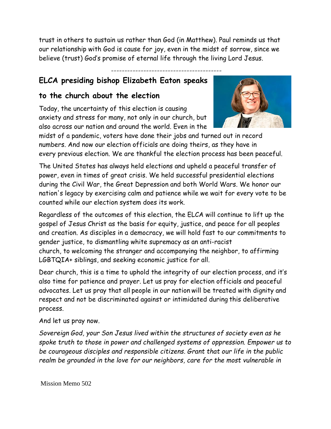trust in others to sustain us rather than God (in Matthew). Paul reminds us that our relationship with God is cause for joy, even in the midst of sorrow, since we believe (trust) God's promise of eternal life through the living Lord Jesus.

-----------------------------------------

### **ELCA presiding bishop Elizabeth Eaton speaks**

#### **to the church about the election**

Today, the uncertainty of this election is causing anxiety and stress for many, not only in our church, but also across our nation and around the world. Even in the



midst of a pandemic, voters have done their jobs and turned out in record numbers. And now our election officials are doing theirs, as they have in every previous election. We are thankful the election process has been peaceful.

The United States has always held elections and upheld a peaceful transfer of power, even in times of great crisis. We held successful presidential elections during the Civil War, the Great Depression and both World Wars. We honor our nation's legacy by exercising calm and patience while we wait for every vote to be counted while our election system does its work.

Regardless of the outcomes of this election, the ELCA will continue to lift up the gospel of Jesus Christ as the basis for equity, justice, and peace for all peoples and creation. As disciples in a democracy, we will hold fast to our commitments to gender justice, to dismantling white supremacy as an anti-racist church, to welcoming the stranger and accompanying the neighbor, to affirming LGBTQIA+ siblings, and seeking economic justice for all.

Dear church, this is a time to uphold the integrity of our election process, and it's also time for patience and prayer. Let us pray for election officials and peaceful advocates. Let us pray that all people in our nation will be treated with dignity and respect and not be discriminated against or intimidated during this deliberative process.

And let us pray now*.*

*Sovereign God, your Son Jesus lived within the structures of society even as he spoke truth to those in power and challenged systems of oppression. Empower us to be courageous disciples and responsible citizens. Grant that our life in the public realm be grounded in the love for our neighbors, care for the most vulnerable in* 

Mission Memo 502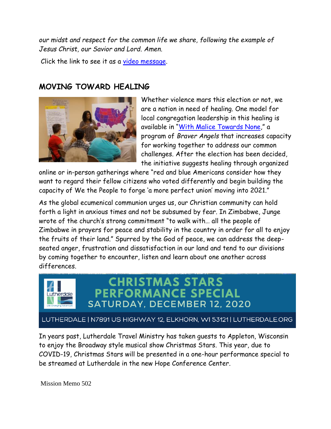*our midst and respect for the common life we share, following the example of Jesus Christ, our Savior and Lord. Amen.*

Click the link to see it as a [video message.](https://www.youtube.com/watch?v=dY8Netujyig&feature=youtu.be)

#### **MOVING TOWARD HEALING**



Whether violence mars this election or not, we are a nation in need of healing. One model for local congregation leadership in this healing is available in "[With Malice Towards None](https://braverangels.org/what-we-do/with-malice-toward-none/)," a program of *Braver Angels* that increases capacity for working together to address our common challenges. After the election has been decided, the initiative suggests healing through organized

online or in-person gatherings where "red and blue Americans consider how they want to regard their fellow citizens who voted differently and begin building the capacity of We the People to forge 'a more perfect union' moving into 2021."

As the global ecumenical communion urges us, our Christian community can hold forth a light in anxious times and not be subsumed by fear. In Zimbabwe, Junge wrote of the church's strong commitment "to walk with… all the people of Zimbabwe in prayers for peace and stability in the country in order for all to enjoy the fruits of their land." Spurred by the God of peace, we can address the deepseated anger, frustration and dissatisfaction in our land and tend to our divisions by coming together to encounter, listen and learn about one another across differences.



## **CHRISTMAS STARS PERFORMANCE SPECIAL** SATURDAY, DECEMBER 12, 2020

#### LUTHERDALE | N7891 US HIGHWAY 12, ELKHORN, WI 53121 | LUTHERDALE.ORG

In years past, Lutherdale Travel Ministry has taken guests to Appleton, Wisconsin to enjoy the Broadway style musical show Christmas Stars. This year, due to COVID-19, Christmas Stars will be presented in a one-hour performance special to be streamed at Lutherdale in the new Hope Conference Center.

Mission Memo 502